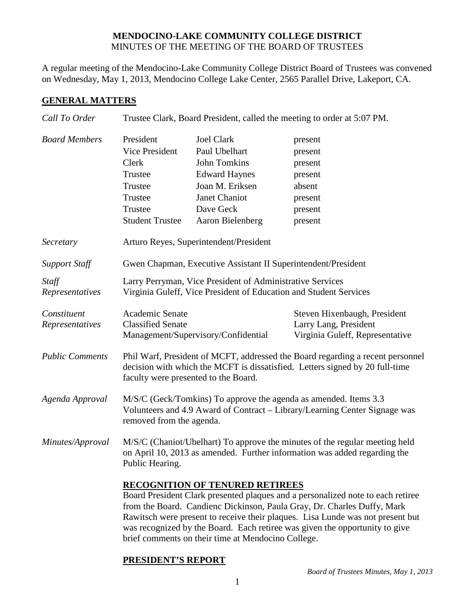## **MENDOCINO-LAKE COMMUNITY COLLEGE DISTRICT** MINUTES OF THE MEETING OF THE BOARD OF TRUSTEES

A regular meeting of the Mendocino-Lake Community College District Board of Trustees was convened on Wednesday, May 1, 2013, Mendocino College Lake Center, 2565 Parallel Drive, Lakeport, CA.

## **GENERAL MATTERS**

| Call To Order            | Trustee Clark, Board President, called the meeting to order at 5:07 PM.                                                                                                                                                                                                                                                                                                                                                     |                                     |                                                          |  |
|--------------------------|-----------------------------------------------------------------------------------------------------------------------------------------------------------------------------------------------------------------------------------------------------------------------------------------------------------------------------------------------------------------------------------------------------------------------------|-------------------------------------|----------------------------------------------------------|--|
| <b>Board Members</b>     | President                                                                                                                                                                                                                                                                                                                                                                                                                   | <b>Joel Clark</b>                   | present                                                  |  |
|                          | Vice President                                                                                                                                                                                                                                                                                                                                                                                                              | Paul Ubelhart                       | present                                                  |  |
|                          | Clerk                                                                                                                                                                                                                                                                                                                                                                                                                       | <b>John Tomkins</b>                 | present                                                  |  |
|                          | Trustee                                                                                                                                                                                                                                                                                                                                                                                                                     | <b>Edward Haynes</b>                | present                                                  |  |
|                          | Trustee                                                                                                                                                                                                                                                                                                                                                                                                                     | Joan M. Eriksen                     | absent                                                   |  |
|                          | Trustee                                                                                                                                                                                                                                                                                                                                                                                                                     | Janet Chaniot                       | present                                                  |  |
|                          | Trustee                                                                                                                                                                                                                                                                                                                                                                                                                     | Dave Geck                           | present                                                  |  |
|                          | <b>Student Trustee</b>                                                                                                                                                                                                                                                                                                                                                                                                      | Aaron Bielenberg                    | present                                                  |  |
| Secretary                | Arturo Reyes, Superintendent/President                                                                                                                                                                                                                                                                                                                                                                                      |                                     |                                                          |  |
| <b>Support Staff</b>     | Gwen Chapman, Executive Assistant II Superintendent/President                                                                                                                                                                                                                                                                                                                                                               |                                     |                                                          |  |
| Staff<br>Representatives | Larry Perryman, Vice President of Administrative Services<br>Virginia Guleff, Vice President of Education and Student Services                                                                                                                                                                                                                                                                                              |                                     |                                                          |  |
| Constituent              | Academic Senate                                                                                                                                                                                                                                                                                                                                                                                                             |                                     | Steven Hixenbaugh, President                             |  |
| Representatives          | <b>Classified Senate</b>                                                                                                                                                                                                                                                                                                                                                                                                    | Management/Supervisory/Confidential | Larry Lang, President<br>Virginia Guleff, Representative |  |
| <b>Public Comments</b>   | Phil Warf, President of MCFT, addressed the Board regarding a recent personnel<br>decision with which the MCFT is dissatisfied. Letters signed by 20 full-time<br>faculty were presented to the Board.                                                                                                                                                                                                                      |                                     |                                                          |  |
| Agenda Approval          | M/S/C (Geck/Tomkins) To approve the agenda as amended. Items 3.3<br>Volunteers and 4.9 Award of Contract – Library/Learning Center Signage was<br>removed from the agenda.                                                                                                                                                                                                                                                  |                                     |                                                          |  |
| Minutes/Approval         | M/S/C (Chaniot/Ubelhart) To approve the minutes of the regular meeting held<br>on April 10, 2013 as amended. Further information was added regarding the<br>Public Hearing.                                                                                                                                                                                                                                                 |                                     |                                                          |  |
|                          | <b>RECOGNITION OF TENURED RETIREES</b><br>Board President Clark presented plaques and a personalized note to each retiree<br>from the Board. Candienc Dickinson, Paula Gray, Dr. Charles Duffy, Mark<br>Rawitsch were present to receive their plaques. Lisa Lunde was not present but<br>was recognized by the Board. Each retiree was given the opportunity to give<br>brief comments on their time at Mendocino College. |                                     |                                                          |  |

## **PRESIDENT'S REPORT**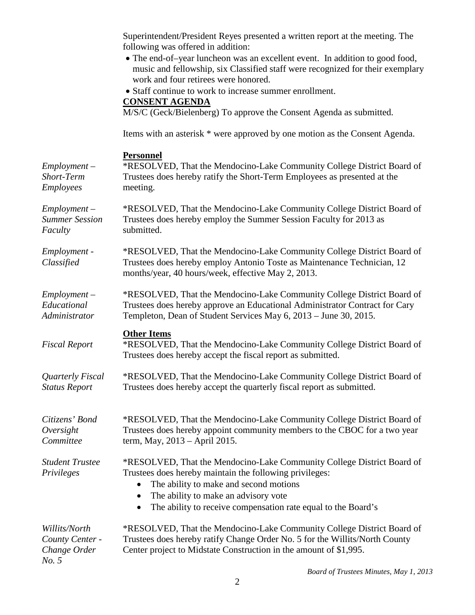Superintendent/President Reyes presented a written report at the meeting. The following was offered in addition: • The end-of–year luncheon was an excellent event. In addition to good food, music and fellowship, six Classified staff were recognized for their exemplary work and four retirees were honored. • Staff continue to work to increase summer enrollment. **CONSENT AGENDA** M/S/C (Geck/Bielenberg) To approve the Consent Agenda as submitted. Items with an asterisk \* were approved by one motion as the Consent Agenda. **Personnel** *Employment – Short-Term Employees* \*RESOLVED, That the Mendocino-Lake Community College District Board of Trustees does hereby ratify the Short-Term Employees as presented at the meeting. *Employment – Summer Session Faculty* \*RESOLVED, That the Mendocino-Lake Community College District Board of Trustees does hereby employ the Summer Session Faculty for 2013 as submitted. *Employment - Classified* \*RESOLVED, That the Mendocino-Lake Community College District Board of Trustees does hereby employ Antonio Toste as Maintenance Technician, 12 months/year, 40 hours/week, effective May 2, 2013. *Employment – Educational Administrator* \*RESOLVED, That the Mendocino-Lake Community College District Board of Trustees does hereby approve an Educational Administrator Contract for Cary Templeton, Dean of Student Services May 6, 2013 – June 30, 2015. **Other Items** *Fiscal Report* \*RESOLVED, That the Mendocino-Lake Community College District Board of Trustees does hereby accept the fiscal report as submitted. *Quarterly Fiscal Status Report*  \*RESOLVED, That the Mendocino-Lake Community College District Board of Trustees does hereby accept the quarterly fiscal report as submitted. *Citizens' Bond Oversight Committee* \*RESOLVED, That the Mendocino-Lake Community College District Board of Trustees does hereby appoint community members to the CBOC for a two year term, May, 2013 – April 2015. *Student Trustee Privileges* \*RESOLVED, That the Mendocino-Lake Community College District Board of Trustees does hereby maintain the following privileges: • The ability to make and second motions • The ability to make an advisory vote • The ability to receive compensation rate equal to the Board's *Willits/North County Center - Change Order*  \*RESOLVED, That the Mendocino-Lake Community College District Board of Trustees does hereby ratify Change Order No. 5 for the Willits/North County Center project to Midstate Construction in the amount of \$1,995.

*No. 5*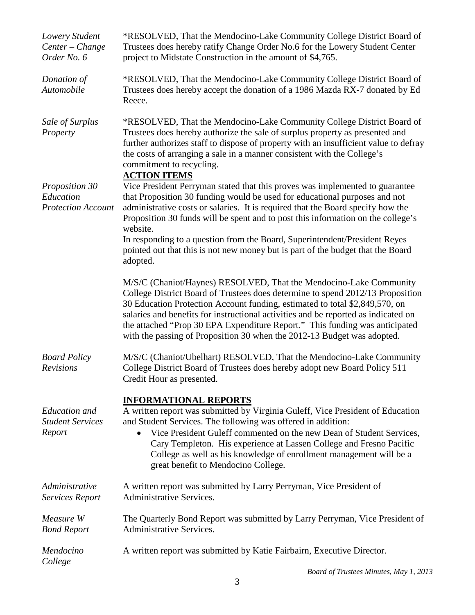| Lowery Student<br>Center - Change<br>Order No. 6          | *RESOLVED, That the Mendocino-Lake Community College District Board of<br>Trustees does hereby ratify Change Order No.6 for the Lowery Student Center<br>project to Midstate Construction in the amount of \$4,765.                                                                                                                                                                                                                                                                 |  |
|-----------------------------------------------------------|-------------------------------------------------------------------------------------------------------------------------------------------------------------------------------------------------------------------------------------------------------------------------------------------------------------------------------------------------------------------------------------------------------------------------------------------------------------------------------------|--|
| Donation of<br>Automobile                                 | *RESOLVED, That the Mendocino-Lake Community College District Board of<br>Trustees does hereby accept the donation of a 1986 Mazda RX-7 donated by Ed<br>Reece.                                                                                                                                                                                                                                                                                                                     |  |
| Sale of Surplus<br>Property                               | *RESOLVED, That the Mendocino-Lake Community College District Board of<br>Trustees does hereby authorize the sale of surplus property as presented and<br>further authorizes staff to dispose of property with an insufficient value to defray<br>the costs of arranging a sale in a manner consistent with the College's<br>commitment to recycling.<br><b>ACTION ITEMS</b>                                                                                                        |  |
| Proposition 30<br>Education<br><b>Protection Account</b>  | Vice President Perryman stated that this proves was implemented to guarantee<br>that Proposition 30 funding would be used for educational purposes and not<br>administrative costs or salaries. It is required that the Board specify how the<br>Proposition 30 funds will be spent and to post this information on the college's<br>website.<br>In responding to a question from the Board, Superintendent/President Reyes                                                         |  |
|                                                           | pointed out that this is not new money but is part of the budget that the Board<br>adopted.                                                                                                                                                                                                                                                                                                                                                                                         |  |
|                                                           | M/S/C (Chaniot/Haynes) RESOLVED, That the Mendocino-Lake Community<br>College District Board of Trustees does determine to spend 2012/13 Proposition<br>30 Education Protection Account funding, estimated to total \$2,849,570, on<br>salaries and benefits for instructional activities and be reported as indicated on<br>the attached "Prop 30 EPA Expenditure Report." This funding was anticipated<br>with the passing of Proposition 30 when the 2012-13 Budget was adopted. |  |
| <b>Board Policy</b><br>Revisions                          | M/S/C (Chaniot/Ubelhart) RESOLVED, That the Mendocino-Lake Community<br>College District Board of Trustees does hereby adopt new Board Policy 511<br>Credit Hour as presented.                                                                                                                                                                                                                                                                                                      |  |
| <b>Education</b> and<br><b>Student Services</b><br>Report | <b>INFORMATIONAL REPORTS</b><br>A written report was submitted by Virginia Guleff, Vice President of Education<br>and Student Services. The following was offered in addition:<br>Vice President Guleff commented on the new Dean of Student Services,<br>Cary Templeton. His experience at Lassen College and Fresno Pacific<br>College as well as his knowledge of enrollment management will be a<br>great benefit to Mendocino College.                                         |  |
| Administrative<br><b>Services Report</b>                  | A written report was submitted by Larry Perryman, Vice President of<br><b>Administrative Services.</b>                                                                                                                                                                                                                                                                                                                                                                              |  |
| Measure W<br><b>Bond Report</b>                           | The Quarterly Bond Report was submitted by Larry Perryman, Vice President of<br><b>Administrative Services.</b>                                                                                                                                                                                                                                                                                                                                                                     |  |
| Mendocino<br>College                                      | A written report was submitted by Katie Fairbairn, Executive Director.                                                                                                                                                                                                                                                                                                                                                                                                              |  |